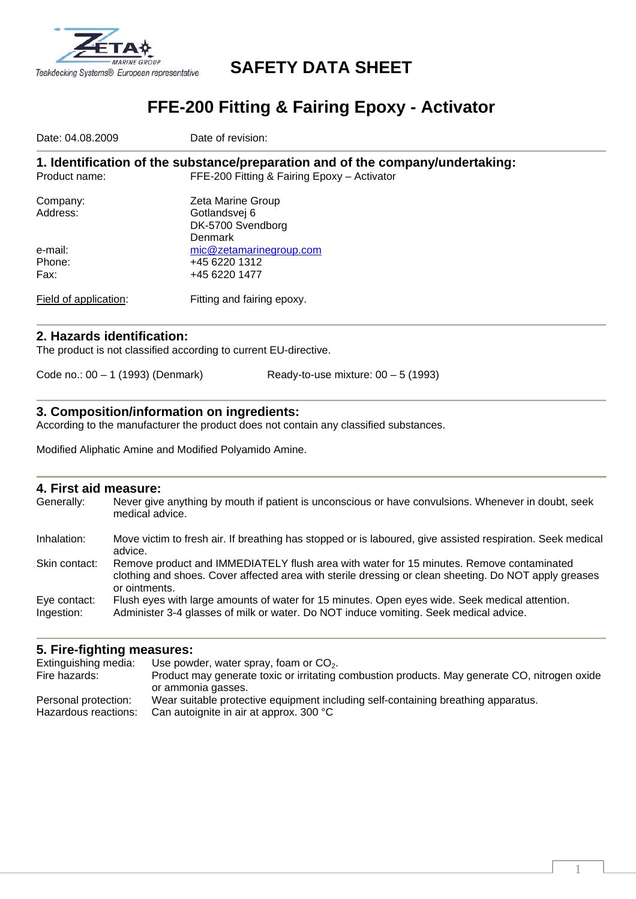

# **SAFETY DATA SHEET**

# **FFE-200 Fitting & Fairing Epoxy - Activator**

Date: 04.08.2009 **Date of revision: 1. Identification of the substance/preparation and of the company/undertaking:**  Product name: FFE-200 Fitting & Fairing Epoxy – Activator Company: Zeta Marine Group Address: Gotlandsvej 6 DK-5700 Svendborg Denmark e-mail:<br>
Phone:<br>
Phone:<br>  $+4562201312$ +45 6220 1312 Fax: +45 6220 1477 Field of application: Fitting and fairing epoxy.

## **2. Hazards identification:**

The product is not classified according to current EU-directive.

Code no.: 00 – 1 (1993) (Denmark) Ready-to-use mixture: 00 – 5 (1993)

#### **3. Composition/information on ingredients:**

According to the manufacturer the product does not contain any classified substances.

Modified Aliphatic Amine and Modified Polyamido Amine.

### **4. First aid measure:**

| Generally:    | Never give anything by mouth if patient is unconscious or have convulsions. Whenever in doubt, seek<br>medical advice.                                                                                             |
|---------------|--------------------------------------------------------------------------------------------------------------------------------------------------------------------------------------------------------------------|
| Inhalation:   | Move victim to fresh air. If breathing has stopped or is laboured, give assisted respiration. Seek medical<br>advice.                                                                                              |
| Skin contact: | Remove product and IMMEDIATELY flush area with water for 15 minutes. Remove contaminated<br>clothing and shoes. Cover affected area with sterile dressing or clean sheeting. Do NOT apply greases<br>or ointments. |
| Eye contact:  | Flush eyes with large amounts of water for 15 minutes. Open eyes wide. Seek medical attention.                                                                                                                     |
| Ingestion:    | Administer 3-4 glasses of milk or water. Do NOT induce vomiting. Seek medical advice.                                                                                                                              |

## **5. Fire-fighting measures:**

| Extinguishing media: | Use powder, water spray, foam or $CO2$ .                                                      |
|----------------------|-----------------------------------------------------------------------------------------------|
| Fire hazards:        | Product may generate toxic or irritating combustion products. May generate CO, nitrogen oxide |
|                      | or ammonia gasses.                                                                            |
| Personal protection: | Wear suitable protective equipment including self-containing breathing apparatus.             |
| Hazardous reactions: | Can autoignite in air at approx. 300 °C                                                       |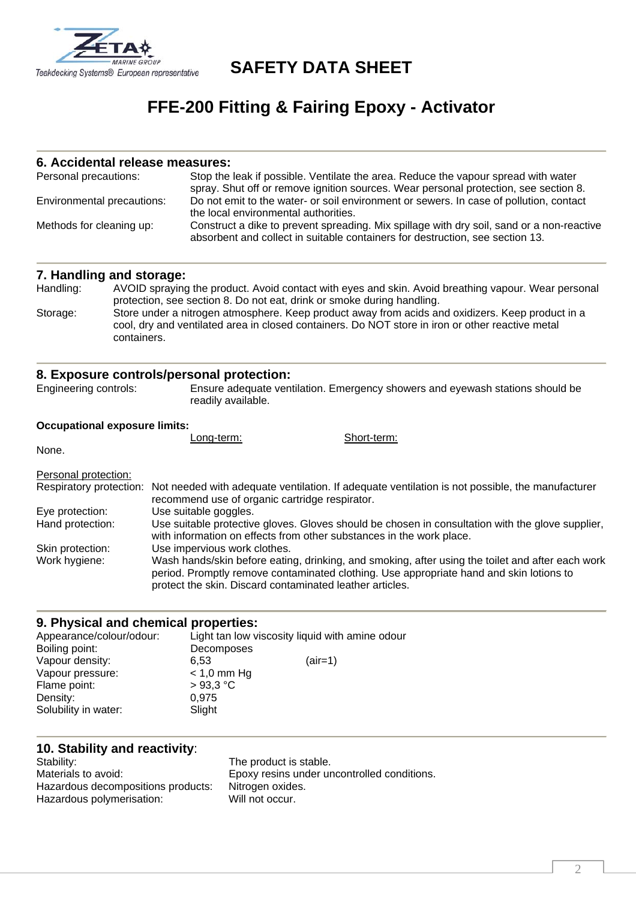

**SAFETY DATA SHEET** 

# **FFE-200 Fitting & Fairing Epoxy - Activator**

#### **6. Accidental release measures:**

| Personal precautions:      | Stop the leak if possible. Ventilate the area. Reduce the vapour spread with water<br>spray. Shut off or remove ignition sources. Wear personal protection, see section 8. |
|----------------------------|----------------------------------------------------------------------------------------------------------------------------------------------------------------------------|
| Environmental precautions: | Do not emit to the water- or soil environment or sewers. In case of pollution, contact<br>the local environmental authorities.                                             |
| Methods for cleaning up:   | Construct a dike to prevent spreading. Mix spillage with dry soil, sand or a non-reactive<br>absorbent and collect in suitable containers for destruction, see section 13. |

## **7. Handling and storage:**

| Handling: | AVOID spraying the product. Avoid contact with eyes and skin. Avoid breathing vapour. Wear personal |
|-----------|-----------------------------------------------------------------------------------------------------|
|           | protection, see section 8. Do not eat, drink or smoke during handling.                              |
| Storage:  | Store under a nitrogen atmosphere. Keep product away from acids and oxidizers. Keep product in a    |
|           | cool, dry and ventilated area in closed containers. Do NOT store in iron or other reactive metal    |
|           | containers.                                                                                         |

#### **8. Exposure controls/personal protection:**

Engineering controls: Ensure adequate ventilation. Emergency showers and eyewash stations should be readily available.

#### **Occupational exposure limits:**

|                      | Long-term:                                                                  | Short-term: |
|----------------------|-----------------------------------------------------------------------------|-------------|
| None.                |                                                                             |             |
|                      |                                                                             |             |
| Personal protection: | Repairment protection: Not peodod with adoptato vertilation If adoptate ver |             |

|                  | Respiratory protection: Not needed with adequate ventilation. If adequate ventilation is not possible, the manufacturer<br>recommend use of organic cartridge respirator.                                                                               |
|------------------|---------------------------------------------------------------------------------------------------------------------------------------------------------------------------------------------------------------------------------------------------------|
| Eye protection:  | Use suitable goggles.                                                                                                                                                                                                                                   |
| Hand protection: | Use suitable protective gloves. Gloves should be chosen in consultation with the glove supplier,<br>with information on effects from other substances in the work place.                                                                                |
| Skin protection: | Use impervious work clothes.                                                                                                                                                                                                                            |
| Work hygiene:    | Wash hands/skin before eating, drinking, and smoking, after using the toilet and after each work<br>period. Promptly remove contaminated clothing. Use appropriate hand and skin lotions to<br>protect the skin. Discard contaminated leather articles. |

### **9. Physical and chemical properties:**

| Appearance/colour/odour: | Light tan low viscosity liquid with amine odour |           |
|--------------------------|-------------------------------------------------|-----------|
| Boiling point:           | Decomposes                                      |           |
| Vapour density:          | 6.53                                            | $(air=1)$ |
| Vapour pressure:         | $<$ 1,0 mm Hg                                   |           |
| Flame point:             | $>93.3$ °C                                      |           |
| Density:                 | 0.975                                           |           |
| Solubility in water:     | Slight                                          |           |

# **10. Stability and reactivity**:

Hazardous decompositions products: Nitrogen oxide<br>Hazardous polymerisation: Will not occur. Hazardous polymerisation:

Stability: The product is stable. Materials to avoid: Epoxy resins under uncontrolled conditions.<br>Hazardous decompositions products: Nitrogen oxides.